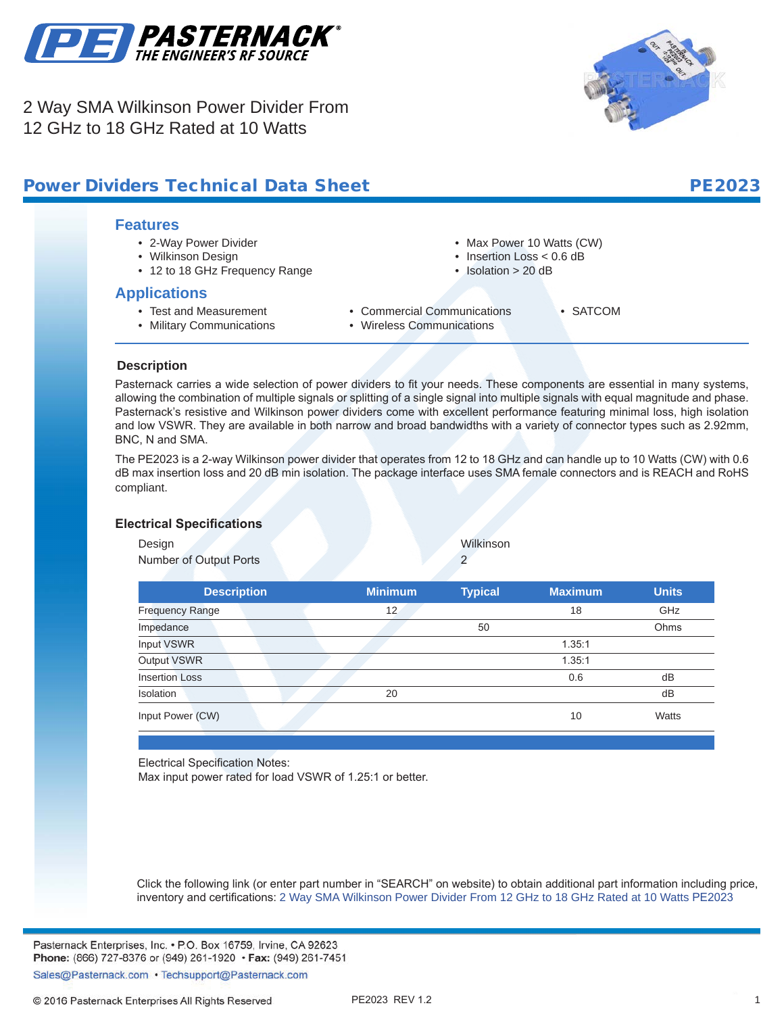

2 Way SMA Wilkinson Power Divider From 12 GHz to 18 GHz Rated at 10 Watts



#### **Features** • 2-Way Power Divider • Wilkinson Design • 12 to 18 GHz Frequency Range • Max Power 10 Watts (CW) • Insertion Loss < 0.6 dB • Isolation > 20 dB **Power Dividers Technical Data Sheet**  PE2023

## **Applications**

- Test and Measurement • Military Communications
- Commercial Communications
	- Wireless Communications
- SATCOM

## **Description**

**.**

Pasternack carries a wide selection of power dividers to fit your needs. These components are essential in many systems, allowing the combination of multiple signals or splitting of a single signal into multiple signals with equal magnitude and phase. Pasternack's resistive and Wilkinson power dividers come with excellent performance featuring minimal loss, high isolation and low VSWR. They are available in both narrow and broad bandwidths with a variety of connector types such as 2.92mm, BNC, N and SMA.

The PE2023 is a 2-way Wilkinson power divider that operates from 12 to 18 GHz and can handle up to 10 Watts (CW) with 0.6 dB max insertion loss and 20 dB min isolation. The package interface uses SMA female connectors and is REACH and RoHS compliant.

### **Electrical Specifications**

Design Wilkinson

Number of Output Ports 2

| <b>Description</b>     |  | <b>Minimum</b> | <b>Typical</b> | <b>Maximum</b> | <b>Units</b> |
|------------------------|--|----------------|----------------|----------------|--------------|
| <b>Frequency Range</b> |  | 12             |                | 18             | GHz          |
| Impedance              |  |                | 50             |                | Ohms         |
| Input VSWR             |  |                |                | 1.35:1         |              |
| Output VSWR            |  |                |                | 1.35:1         |              |
| <b>Insertion Loss</b>  |  |                |                | 0.6            | dB           |
| Isolation              |  | 20             |                |                | dB           |
| Input Power (CW)       |  |                |                | 10             | Watts        |
|                        |  |                |                |                |              |

Electrical Specification Notes:

Max input power rated for load VSWR of 1.25:1 or better.

Click the following link (or enter part number in "SEARCH" on website) to obtain additional part information including price, inventory and certifications: [2 Way SMA Wilkinson Power Divider From 12 GHz to 18 GHz Rated at 10 Watts](http://www.pasternack.com/2-way-sma-reactive-power-divider-12-ghz-18-ghz-10-watts-pe2023-p.aspx) [PE2023](http://www.pasternack.com/2-way-sma-reactive-power-divider-12-ghz-18-ghz-10-watts-pe2023-p.aspx)

Pasternack Enterprises, Inc. • P.O. Box 16759, Irvine, CA 92623 Phone: (866) 727-8376 or (949) 261-1920 • Fax: (949) 261-7451

Sales@Pasternack.com • Techsupport@Pasternack.com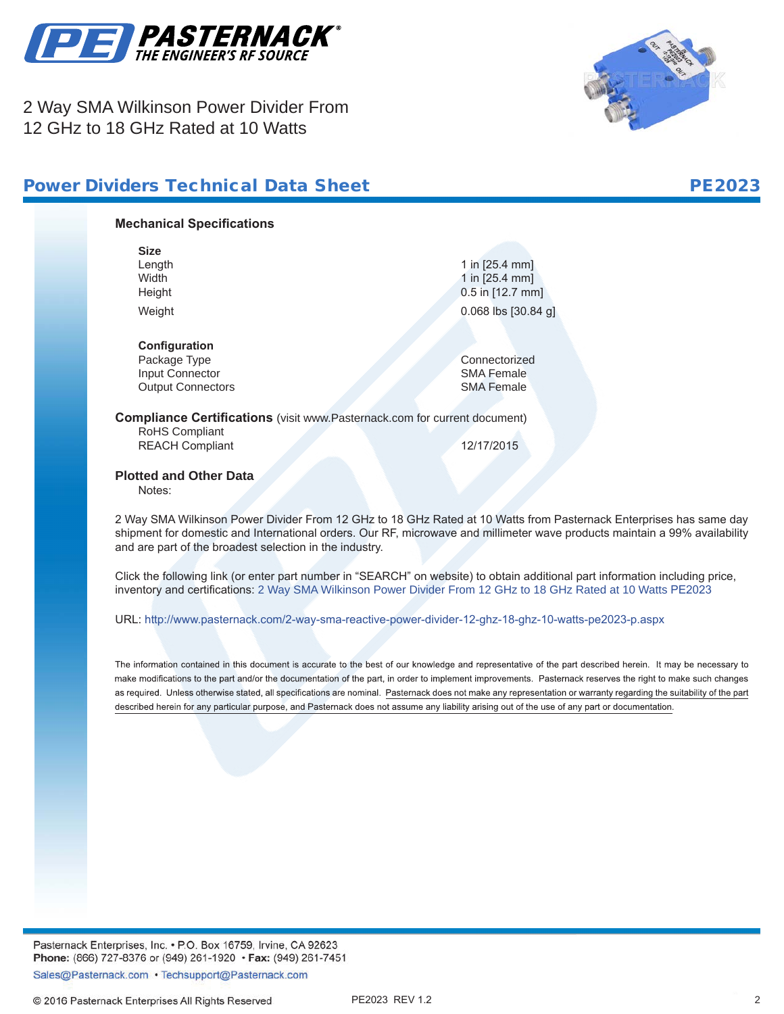

2 Way SMA Wilkinson Power Divider From 12 GHz to 18 GHz Rated at 10 Watts





# **Mechanical Specifications Size** Length 1 in [25.4 mm]<br>
Width 1 in [25.4 mm] 1 in  $[25.4 \, \text{mm}]$ Height **12.7 mm** Weight 0.068 lbs [30.84 g] **Configuration** Package Type Connectorized<br>
Input Connector<br>
Input Connector Input Connector SMA Female<br>
Output Connectors<br>
SMA Female **Output Connectors Compliance Certifications** (visit www.Pasternack.com for current document) RoHS Compliant REACH Compliant 12/17/2015

**Plotted and Other Data**

Notes:

2 Way SMA Wilkinson Power Divider From 12 GHz to 18 GHz Rated at 10 Watts from Pasternack Enterprises has same day shipment for domestic and International orders. Our RF, microwave and millimeter wave products maintain a 99% availability and are part of the broadest selection in the industry.

Click the following link (or enter part number in "SEARCH" on website) to obtain additional part information including price, inventory and certifications: [2 Way SMA Wilkinson Power Divider From 12 GHz to 18 GHz Rated at 10 Watts](http://www.pasternack.com/2-way-sma-reactive-power-divider-12-ghz-18-ghz-10-watts-pe2023-p.aspx) [PE2023](http://www.pasternack.com/2-way-sma-reactive-power-divider-12-ghz-18-ghz-10-watts-pe2023-p.aspx)

URL: <http://www.pasternack.com/2-way-sma-reactive-power-divider-12-ghz-18-ghz-10-watts-pe2023-p.aspx>

The information contained in this document is accurate to the best of our knowledge and representative of the part described herein. It may be necessary to make modifications to the part and/or the documentation of the part, in order to implement improvements. Pasternack reserves the right to make such changes as required. Unless otherwise stated, all specifications are nominal. Pasternack does not make any representation or warranty regarding the suitability of the part described herein for any particular purpose, and Pasternack does not assume any liability arising out of the use of any part or documentation.

Pasternack Enterprises, Inc. • P.O. Box 16759, Irvine, CA 92623 Phone: (866) 727-8376 or (949) 261-1920 • Fax: (949) 261-7451

Sales@Pasternack.com • Techsupport@Pasternack.com